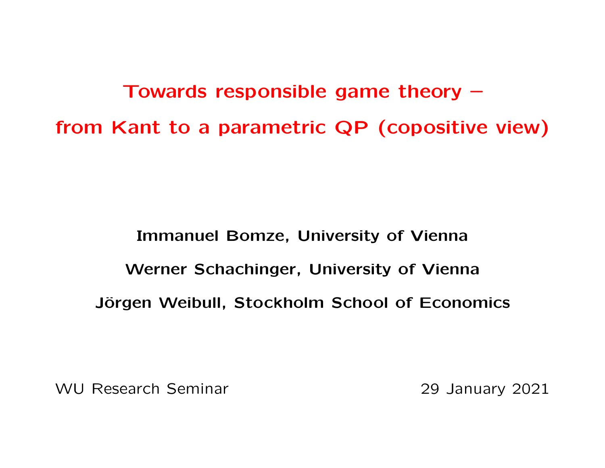Towards responsible game theory – from Kant to a parametric QP (copositive view)

Immanuel Bomze, University of Vienna Werner Schachinger, University of Vienna Jörgen Weibull, Stockholm School of Economics

WU Research Seminar 29 January 2021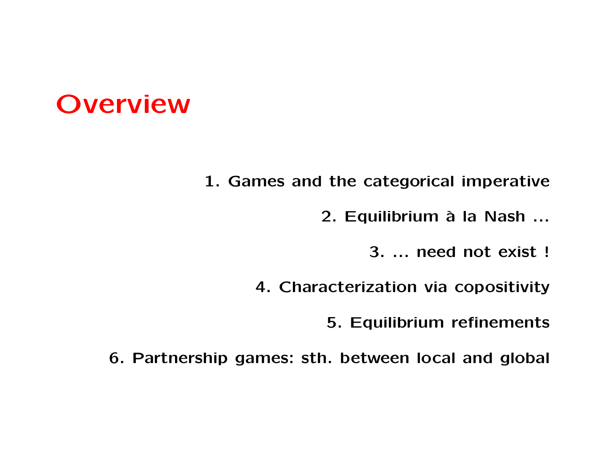## **Overview**

1. Games and the categorical imperative

2. Equilibrium à la Nash ...

3. ... need not exist !

4. Characterization via copositivity

5. Equilibrium refinements

6. Partnership games: sth. between local and global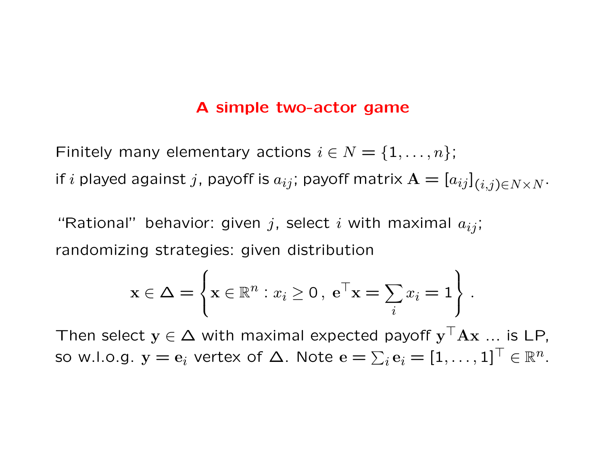#### A simple two-actor game

Finitely many elementary actions  $i \in N = \{1, \ldots, n\}$ ; if *i* played against j, payoff is  $a_{ij}$ ; payoff matrix  $\mathbf{A} = [a_{ij}]_{(i,j)\in N\times N}$ .

"Rational" behavior: given j, select i with maximal  $a_{ij}$ ; randomizing strategies: given distribution

$$
\mathbf{x} \in \Delta = \left\{ \mathbf{x} \in \mathbb{R}^n : x_i \ge 0, \ \mathbf{e}^\top \mathbf{x} = \sum_i x_i = 1 \right\}.
$$

Then select  $y \in \Delta$  with maximal expected payoff  $y^{\top}Ax$  ... is LP, so w.l.o.g.  $\mathbf{y} = \mathbf{e}_i$  vertex of  $\Delta$ . Note  $\mathbf{e} = \sum_i \mathbf{e}_i = [1, \dots, 1]^{\top} \in \mathbb{R}^n$ .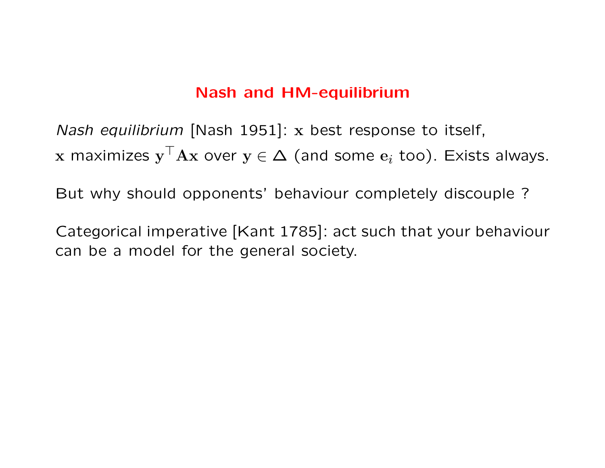### Nash and HM-equilibrium

Nash equilibrium [Nash 1951]: x best response to itself,  $\mathbf x$  maximizes  $\mathbf y^\top \mathbf A \mathbf x$  over  $\mathbf y \in \Delta$  (and some  $\mathbf e_i$  too). Exists always.

But why should opponents' behaviour completely discouple ?

Categorical imperative [Kant 1785]: act such that your behaviour can be a model for the general society.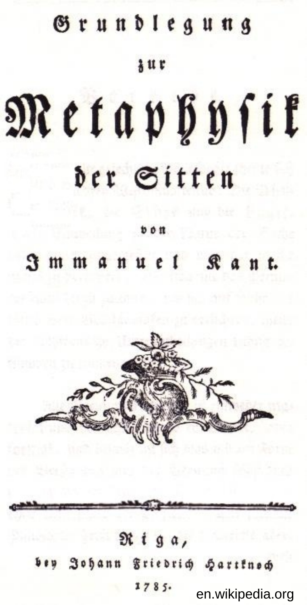#### Grundlegung

#### aur

# Metaphysik der Sitten

 $b$   $b$  ff

#### $\mathfrak{R}$  m anue I Rant. m



Riga,

Johann griedrich hartfnoch

 $1785.$ 

en.wikipedia.org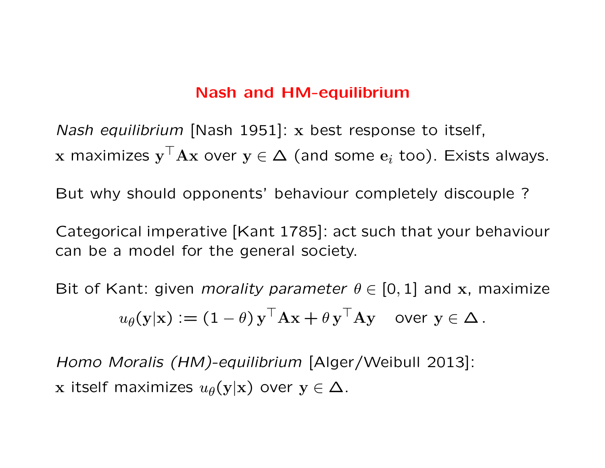#### Nash and HM-equilibrium

Nash equilibrium [Nash 1951]: x best response to itself,  $\mathbf x$  maximizes  $\mathbf y^\top \mathbf A \mathbf x$  over  $\mathbf y \in \Delta$  (and some  $\mathbf e_i$  too). Exists always.

But why should opponents' behaviour completely discouple ?

Categorical imperative [Kant 1785]: act such that your behaviour can be a model for the general society.

Bit of Kant: given *morality parameter*  $\theta \in [0,1]$  and x, maximize

$$
u_{\theta}(\mathbf{y}|\mathbf{x}) := (1 - \theta) \mathbf{y}^{\top} \mathbf{A} \mathbf{x} + \theta \mathbf{y}^{\top} \mathbf{A} \mathbf{y} \text{ over } \mathbf{y} \in \Delta.
$$

Homo Moralis (HM)-equilibrium [Alger/Weibull 2013]: x itself maximizes  $u_{\theta}(\mathbf{y}|\mathbf{x})$  over  $\mathbf{y} \in \Delta$ .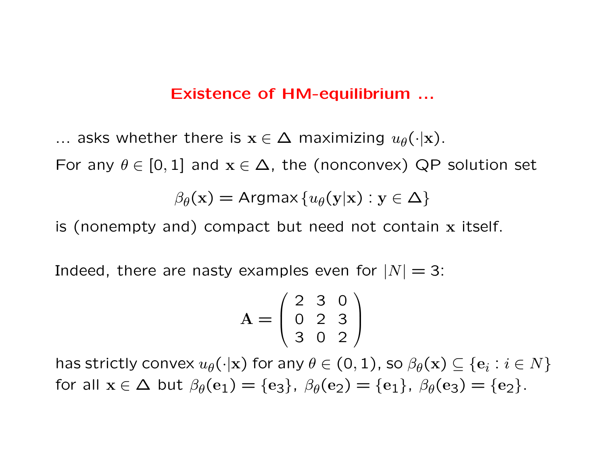#### Existence of HM-equilibrium ...

... asks whether there is  $\mathbf{x} \in \Delta$  maximizing  $u_{\theta}(\cdot|\mathbf{x})$ .

For any  $\theta \in [0,1]$  and  $\mathbf{x} \in \Delta$ , the (nonconvex) QP solution set

 $\beta_{\theta}(\mathbf{x}) = \text{Argmax} \{ u_{\theta}(\mathbf{y}|\mathbf{x}) : \mathbf{y} \in \Delta \}$ 

is (nonempty and) compact but need not contain  $x$  itself.

Indeed, there are nasty examples even for  $|N| = 3$ :

$$
A = \left(\begin{array}{ccc} 2 & 3 & 0 \\ 0 & 2 & 3 \\ 3 & 0 & 2 \end{array}\right)
$$

has strictly convex  $u_\theta(\cdot|\mathbf{x})$  for any  $\theta \in (0,1)$ , so  $\beta_\theta(\mathbf{x}) \subseteq \{\mathbf{e}_i : i \in N\}$ for all  $x \in \Delta$  but  $\beta_{\theta}(e_1) = \{e_3\}$ ,  $\beta_{\theta}(e_2) = \{e_1\}$ ,  $\beta_{\theta}(e_3) = \{e_2\}$ .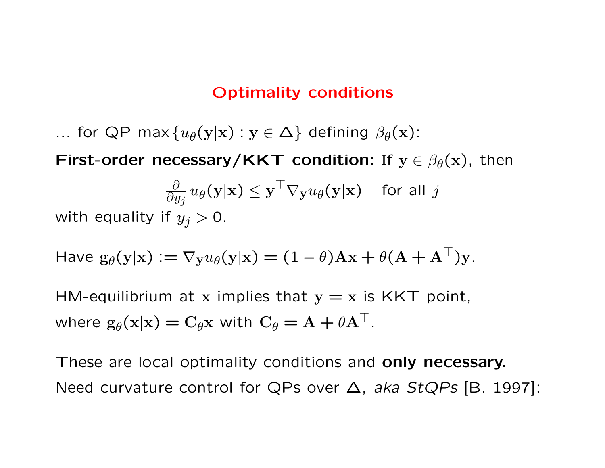#### Optimality conditions

... for QP max  $\{u_{\theta}(\mathbf{y}|\mathbf{x}) : \mathbf{y} \in \Delta\}$  defining  $\beta_{\theta}(\mathbf{x})$ :

First-order necessary/KKT condition: If  $y \in \beta_{\theta}(x)$ , then

$$
\frac{\partial}{\partial y_j} u_{\theta}(\mathbf{y}|\mathbf{x}) \le \mathbf{y}^\top \nabla_{\mathbf{y}} u_{\theta}(\mathbf{y}|\mathbf{x}) \quad \text{for all } j
$$

with equality if  $y_j > 0$ .

Have g<sub>θ</sub>(y|x) := 
$$
\nabla_y u_\theta(y|x) = (1 - \theta)Ax + \theta(A + A^T)y
$$
.

HM-equilibrium at x implies that  $y = x$  is KKT point, where  $g_{\theta}(\mathbf{x}|\mathbf{x}) = \mathbf{C}_{\theta}\mathbf{x}$  with  $\mathbf{C}_{\theta} = \mathbf{A} + \theta \mathbf{A}^{\top}$ .

These are local optimality conditions and only necessary. Need curvature control for QPs over  $\Delta$ , aka StQPs [B. 1997]: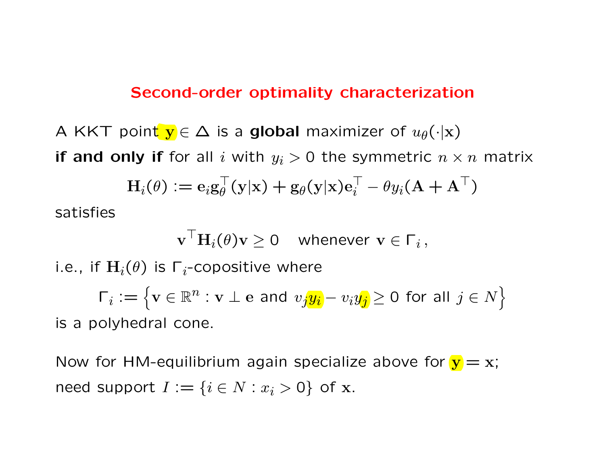#### Second-order optimality characterization

A KKT point  $y \in \Delta$  is a global maximizer of  $u_{\theta}(\cdot|x)$ if and only if for all i with  $y_i > 0$  the symmetric  $n \times n$  matrix

$$
\mathbf{H}_{i}(\theta) := \mathbf{e}_{i} \mathbf{g}_{\theta}^{\top}(\mathbf{y}|\mathbf{x}) + \mathbf{g}_{\theta}(\mathbf{y}|\mathbf{x}) \mathbf{e}_{i}^{\top} - \theta y_{i}(\mathbf{A} + \mathbf{A}^{\top})
$$

satisfies

$$
\mathbf{v}^\top \mathbf{H}_i(\theta) \mathbf{v} \ge 0 \quad \text{whenever } \mathbf{v} \in \Gamma_i \,,
$$

i.e., if  $H_i(\theta)$  is  $\Gamma_i$ -copositive where  $\Gamma_i := \left\{ \mathbf{v} \in \mathbb{R}^n : \mathbf{v} \perp \mathbf{e} \text{ and } v_j \mathbf{y_i} - v_i \mathbf{y_j} \geq 0 \text{ for all } j \in N \right\}$ is a polyhedral cone.

Now for HM-equilibrium again specialize above for  $y = x$ ; need support  $I := \{i \in N : x_i > 0\}$  of x.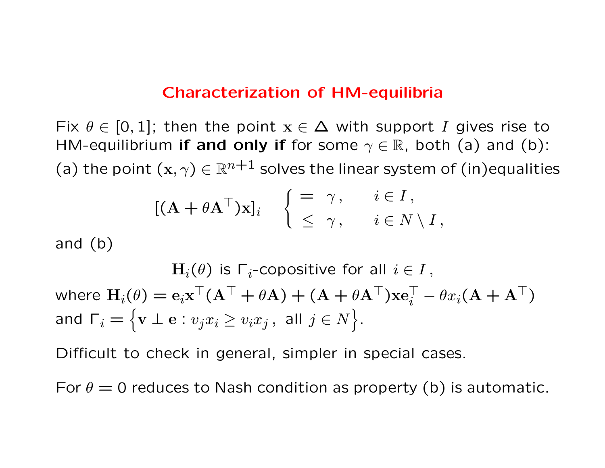#### Characterization of HM-equilibria

Fix  $\theta \in [0,1]$ ; then the point  $x \in \Delta$  with support I gives rise to HM-equilibrium if and only if for some  $\gamma \in \mathbb{R}$ , both (a) and (b): (a) the point  $(x, \gamma) \in \mathbb{R}^{n+1}$  solves the linear system of (in)equalities

$$
[(\mathbf{A} + \theta \mathbf{A}^{\top})\mathbf{x}]_i \quad \begin{cases} = \gamma, & i \in I, \\ \leq \gamma, & i \in N \setminus I, \end{cases}
$$

and (b)

 $H_i(\theta)$  is  $\Gamma_i$ -copositive for all  $i \in I$ , where  $\text{H}_i(\theta) = \text{e}_i \textbf{x}^\top (\text{A}^\top + \theta \text{A}) + (\text{A} + \theta \text{A}^\top) \textbf{x} \text{e}_i^\top - \theta x_i (\text{A} + \text{A}^\top)$ and  $\Gamma_i = \left\{ \mathbf{v} \perp \mathbf{e} : v_j x_i \geq v_i x_j \, , \, \text{ all } j \in N \right\}.$ 

Difficult to check in general, simpler in special cases.

For  $\theta = 0$  reduces to Nash condition as property (b) is automatic.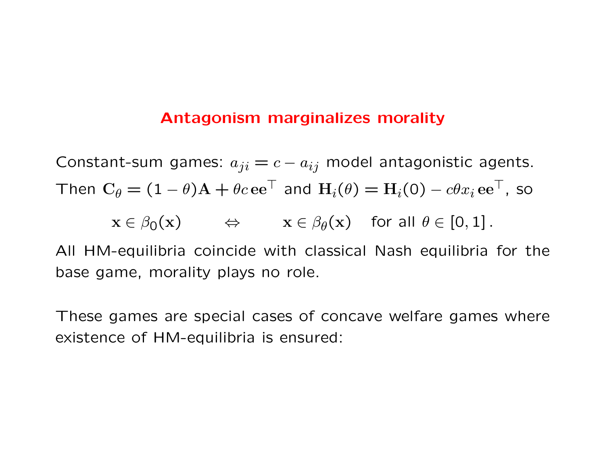#### Antagonism marginalizes morality

Constant-sum games:  $a_{ji} = c - a_{ij}$  model antagonistic agents. Then  $C_{\theta} = (1 - \theta)A + \theta c e^{T}$  and  $H_{i}(\theta) = H_{i}(0) - c\theta x_{i} e^{T}$ , so

 $\mathbf{x} \in \beta_0(\mathbf{x})$   $\Leftrightarrow$   $\mathbf{x} \in \beta_\theta(\mathbf{x})$  for all  $\theta \in [0, 1]$ .

All HM-equilibria coincide with classical Nash equilibria for the base game, morality plays no role.

These games are special cases of concave welfare games where existence of HM-equilibria is ensured: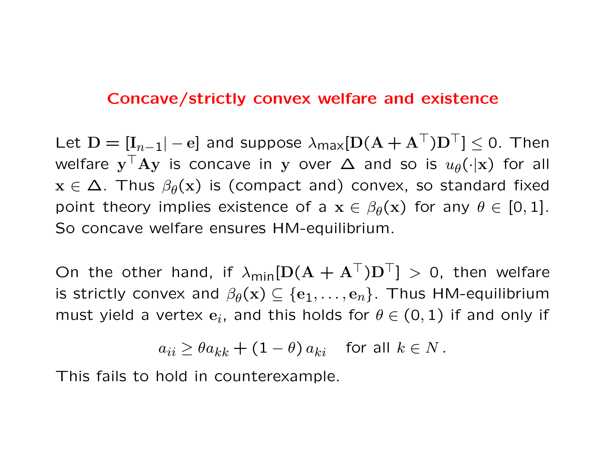#### Concave/strictly convex welfare and existence

Let  $D = [I_{n-1}]-e$  and suppose  $\lambda_{max}[D(A + A^{\top})D^{\top}] \leq 0$ . Then welfare  $\mathbf{y}^\top \mathbf{A} \mathbf{y}$  is concave in  $\mathbf{y}$  over  $\boldsymbol{\Delta}$  and so is  $u_\theta(\cdot|\mathbf{x})$  for all  $x \in \Delta$ . Thus  $\beta_{\theta}(x)$  is (compact and) convex, so standard fixed point theory implies existence of a  $x \in \beta_{\theta}(x)$  for any  $\theta \in [0,1]$ . So concave welfare ensures HM-equilibrium.

On the other hand, if  $\lambda_{\text{min}}[D(A + A^{\top})D^{\top}] > 0$ , then welfare is strictly convex and  $\beta_{\theta}(\mathbf{x}) \subseteq \{\mathbf{e}_1,\ldots,\mathbf{e}_n\}$ . Thus HM-equilibrium must yield a vertex  $e_i$ , and this holds for  $\theta \in (0,1)$  if and only if

$$
a_{ii} \ge \theta a_{kk} + (1 - \theta) a_{ki} \quad \text{for all } k \in N.
$$

This fails to hold in counterexample.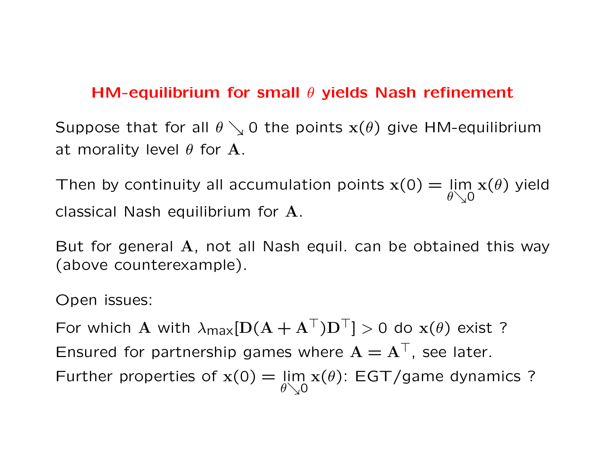### HM-equilibrium for small  $\theta$  yields Nash refinement

Suppose that for all  $\theta \searrow 0$  the points  $\mathbf{x}(\theta)$  give HM-equilibrium at morality level  $\theta$  for A.

Then by continuity all accumulation points  $\mathbf{x}(0) = \lim_{\theta \searrow 0} \mathbf{x}(\theta)$  yield classical Nash equilibrium for A.

But for general A, not all Nash equil. can be obtained this way (above counterexample).

Open issues:

For which A with  $\lambda_{\text{max}}[D(A + A^{\top})D^{\top}] > 0$  do  $x(\theta)$  exist ? Ensured for partnership games where  $A = A^T$ , see later. Further properties of  $x(0) = \lim_{\theta \searrow 0} x(\theta)$ : EGT/game dynamics ?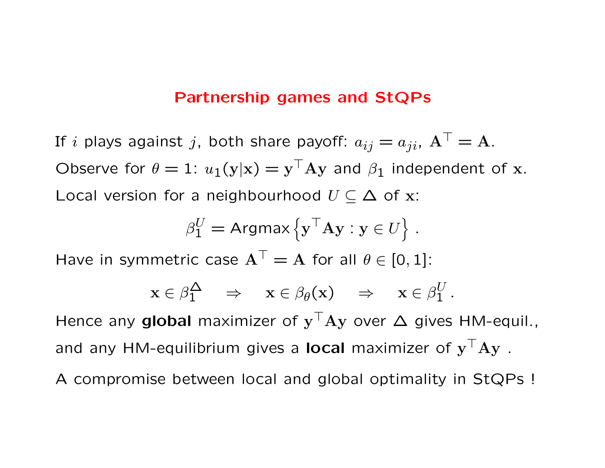#### Partnership games and StQPs

If *i* plays against *j*, both share payoff:  $a_{ij} = a_{ji}$ ,  $A^{\top} = A$ . Observe for  $\theta = 1$ :  $u_1(y|x) = y^\top Ay$  and  $\beta_1$  independent of x. Local version for a neighbourhood  $U \subseteq \Delta$  of x:

$$
\beta_1^U = \text{Argmax}\left\{\mathbf{y}^\top \mathbf{A} \mathbf{y} : \mathbf{y} \in U\right\}.
$$

Have in symmetric case  $A^{\top} = A$  for all  $\theta \in [0, 1]$ :

$$
\mathbf{x} \in \beta_1^{\Delta} \quad \Rightarrow \quad \mathbf{x} \in \beta_\theta(\mathbf{x}) \quad \Rightarrow \quad \mathbf{x} \in \beta_1^U.
$$

Hence any global maximizer of  $y^{\top}Ay$  over  $\Delta$  gives HM-equil., and any HM-equilibrium gives a local maximizer of  $\mathbf{y}^\top \mathbf{A} \mathbf{y}$  .

A compromise between local and global optimality in StQPs !